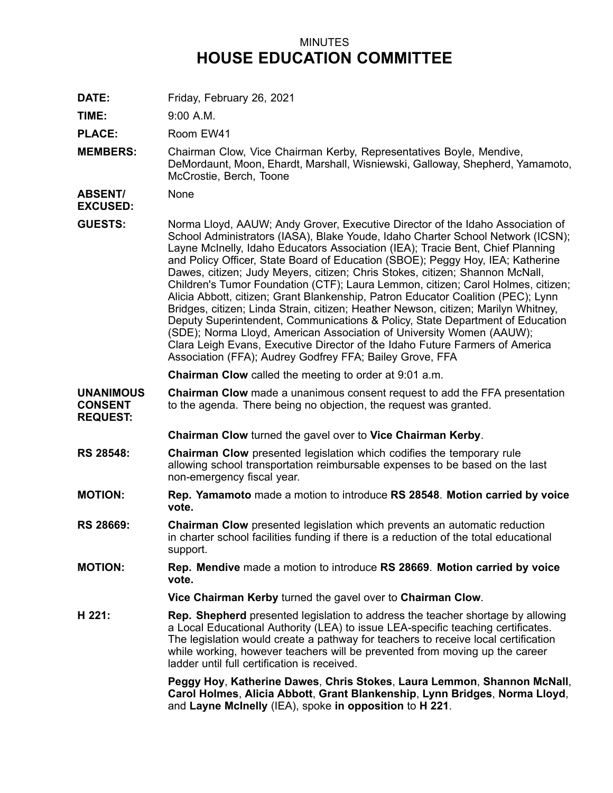## MINUTES **HOUSE EDUCATION COMMITTEE**

**DATE:** Friday, February 26, 2021

**TIME:** 9:00 A.M.

PLACE: Room EW41

**MEMBERS:** Chairman Clow, Vice Chairman Kerby, Representatives Boyle, Mendive, DeMordaunt, Moon, Ehardt, Marshall, Wisniewski, Galloway, Shepherd, Yamamoto, McCrostie, Berch, Toone

**ABSENT/ EXCUSED:** None

**GUESTS:** Norma Lloyd, AAUW; Andy Grover, Executive Director of the Idaho Association of School Administrators (IASA), Blake Youde, Idaho Charter School Network (ICSN); Layne McInelly, Idaho Educators Association (IEA); Tracie Bent, Chief Planning and Policy Officer, State Board of Education (SBOE); Peggy Hoy, IEA; Katherine Dawes, citizen; Judy Meyers, citizen; Chris Stokes, citizen; Shannon McNall, Children's Tumor Foundation (CTF); Laura Lemmon, citizen; Carol Holmes, citizen; Alicia Abbott, citizen; Grant Blankenship, Patron Educator Coalition (PEC); Lynn Bridges, citizen; Linda Strain, citizen; Heather Newson, citizen; Marilyn Whitney, Deputy Superintendent, Communications & Policy, State Department of Education (SDE); Norma Lloyd, American Association of University Women (AAUW); Clara Leigh Evans, Executive Director of the Idaho Future Farmers of America Association (FFA); Audrey Godfrey FFA; Bailey Grove, FFA

**Chairman Clow** called the meeting to order at 9:01 a.m.

- **UNANIMOUS CONSENT REQUEST: Chairman Clow** made <sup>a</sup> unanimous consent request to add the FFA presentation to the agenda. There being no objection, the request was granted.
	- **Chairman Clow** turned the gavel over to **Vice Chairman Kerby**.
- **RS 28548: Chairman Clow** presented legislation which codifies the temporary rule allowing school transportation reimbursable expenses to be based on the last non-emergency fiscal year.
- **MOTION: Rep. Yamamoto** made <sup>a</sup> motion to introduce **RS 28548**. **Motion carried by voice vote.**
- **RS 28669: Chairman Clow** presented legislation which prevents an automatic reduction in charter school facilities funding if there is <sup>a</sup> reduction of the total educational support.
- **MOTION: Rep. Mendive** made <sup>a</sup> motion to introduce **RS 28669**. **Motion carried by voice vote.**

**Vice Chairman Kerby** turned the gavel over to **Chairman Clow**.

**H 221: Rep. Shepherd** presented legislation to address the teacher shortage by allowing <sup>a</sup> Local Educational Authority (LEA) to issue LEA-specific teaching certificates. The legislation would create <sup>a</sup> pathway for teachers to receive local certification while working, however teachers will be prevented from moving up the career ladder until full certification is received.

> **Peggy Hoy**, **Katherine Dawes**, **Chris Stokes**, **Laura Lemmon**, **Shannon McNall**, **Carol Holmes**, **Alicia Abbott**, **Grant Blankenship**, **Lynn Bridges**, **Norma Lloyd**, and **Layne McInelly** (IEA), spoke **in opposition** to **H 221**.